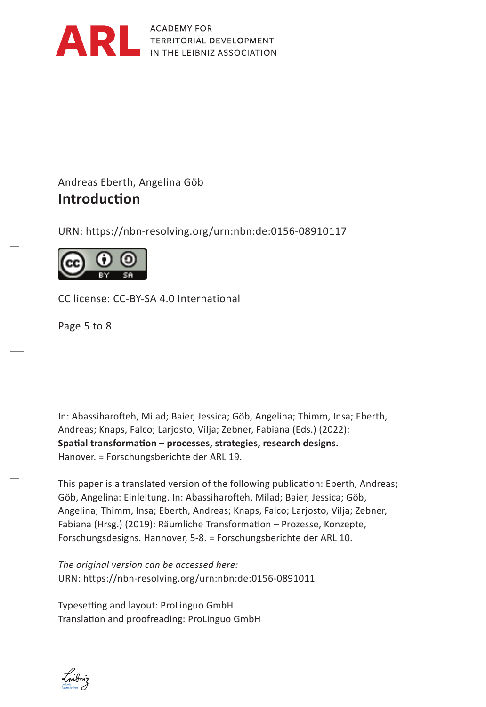

**ACADEMY FOR** TERRITORIAL DEVELOPMENT IN THE LEIBNIZ ASSOCIATION

## Andreas Eberth, Angelina Göb *Hendrik Schoen* **Introduction**

URN: https://nbn-resolving.org/urn:nbn:de:0156-08910117



CC license: CC-BY-SA 4.0 International

Page 5 to 8 Collizenz: Byending 3.0 Deutschland<br>By Sternand 3.0 Deutschland

In: Abassiharofteh, Milad; Baier, Jessica; Göb, Angelina; Thimm, Insa; Eberth, Aus: Andreas; Knaps, Falco; Larjosto, Vilja; Zebner, Fabiana (Eds.) (2022): Spatial transformation – processes, strategies, research designs. **Hanover.** = Forschungsberichte der ARL 19.

This paper is a translated version of the following publication: Eberth, Andreas; Göb, Angelina: Einleitung. In: Abassiharofteh, Milad; Baier, Jessica; Göb, Angelina; Thimm, Insa; Eberth, Andreas; Knaps, Falco; Larjosto, Vilja; Zebner, Fabiana (Hrsg.) (2019): Räumliche Transformation – Prozesse, Konzepte, Forschungsdesigns. Hannover, 5-8. = Forschungsberichte der ARL 10.

*The original version can be accessed here:* URN: https://nbn-resolving.org/urn:nbn:de:0156-0891011

Typesetting and layout: ProLinguo GmbH Translation and proofreading: ProLinguo GmbH

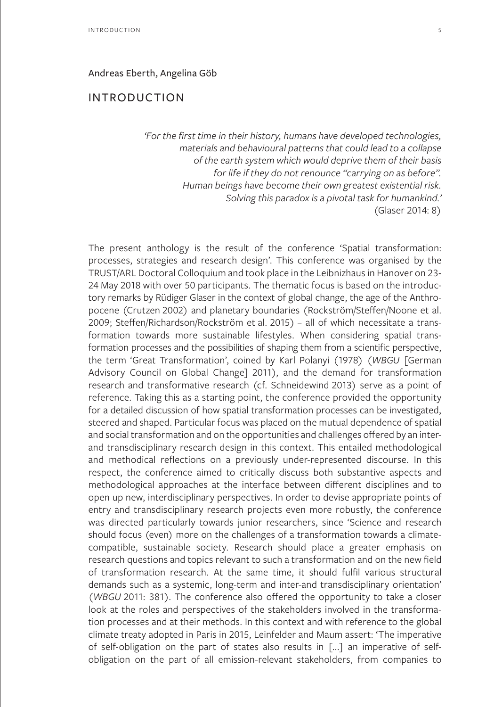## Andreas Eberth, Angelina Göb

## INTRODUCTION

*'For the first time in their history, humans have developed technologies, materials and behavioural patterns that could lead to a collapse of the earth system which would deprive them of their basis for life if they do not renounce "carrying on as before". Human beings have become their own greatest existential risk. Solving this paradox is a pivotal task for humankind.'*  (Glaser 2014: 8)

The present anthology is the result of the conference 'Spatial transformation: processes, strategies and research design'. This conference was organised by the TRUST/ARL Doctoral Colloquium and took place in the Leibnizhaus in Hanover on 23- 24 May 2018 with over 50 participants. The thematic focus is based on the introductory remarks by Rüdiger Glaser in the context of global change, the age of the Anthropocene (Crutzen 2002) and planetary boundaries (Rockström/Steffen/Noone et al. 2009; Steffen/Richardson/Rockström et al. 2015) – all of which necessitate a transformation towards more sustainable lifestyles. When considering spatial transformation processes and the possibilities of shaping them from a scientific perspective, the term 'Great Transformation', coined by Karl Polanyi (1978) (*WBGU* [German Advisory Council on Global Change] 2011), and the demand for transformation research and transformative research (cf. Schneidewind 2013) serve as a point of reference. Taking this as a starting point, the conference provided the opportunity for a detailed discussion of how spatial transformation processes can be investigated, steered and shaped. Particular focus was placed on the mutual dependence of spatial and social transformation and on the opportunities and challenges offered by an interand transdisciplinary research design in this context. This entailed methodological and methodical reflections on a previously under-represented discourse. In this respect, the conference aimed to critically discuss both substantive aspects and methodological approaches at the interface between different disciplines and to open up new, interdisciplinary perspectives. In order to devise appropriate points of entry and transdisciplinary research projects even more robustly, the conference was directed particularly towards junior researchers, since 'Science and research should focus (even) more on the challenges of a transformation towards a climatecompatible, sustainable society. Research should place a greater emphasis on research questions and topics relevant to such a transformation and on the new field of transformation research. At the same time, it should fulfil various structural demands such as a systemic, long-term and inter-and transdisciplinary orientation' (*WBGU* 2011: 381). The conference also offered the opportunity to take a closer look at the roles and perspectives of the stakeholders involved in the transformation processes and at their methods. In this context and with reference to the global climate treaty adopted in Paris in 2015, Leinfelder and Maum assert: 'The imperative of self-obligation on the part of states also results in [...] an imperative of selfobligation on the part of all emission-relevant stakeholders, from companies to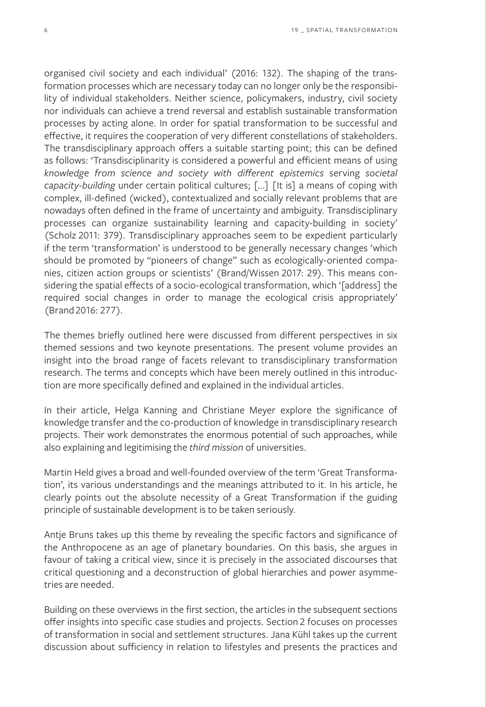organised civil society and each individual' (2016: 132). The shaping of the transformation processes which are necessary today can no longer only be the responsibility of individual stakeholders. Neither science, policymakers, industry, civil society nor individuals can achieve a trend reversal and establish sustainable transformation processes by acting alone. In order for spatial transformation to be successful and effective, it requires the cooperation of very different constellations of stakeholders. The transdisciplinary approach offers a suitable starting point; this can be defined as follows: 'Transdisciplinarity is considered a powerful and efficient means of using *knowledge from science and society with different epistemics* serving *societal capacity-building* under certain political cultures; [...] [It is] a means of coping with complex, ill-defined (wicked), contextualized and socially relevant problems that are nowadays often defined in the frame of uncertainty and ambiguity. Transdisciplinary processes can organize sustainability learning and capacity-building in society' (Scholz 2011: 379). Transdisciplinary approaches seem to be expedient particularly if the term 'transformation' is understood to be generally necessary changes 'which should be promoted by "pioneers of change" such as ecologically-oriented companies, citizen action groups or scientists' (Brand/Wissen 2017: 29). This means considering the spatial effects of a socio-ecological transformation, which '[address] the required social changes in order to manage the ecological crisis appropriately' (Brand 2016: 277).

The themes briefly outlined here were discussed from different perspectives in six themed sessions and two keynote presentations. The present volume provides an insight into the broad range of facets relevant to transdisciplinary transformation research. The terms and concepts which have been merely outlined in this introduction are more specifically defined and explained in the individual articles.

In their article, Helga Kanning and Christiane Meyer explore the significance of knowledge transfer and the co-production of knowledge in transdisciplinary research projects. Their work demonstrates the enormous potential of such approaches, while also explaining and legitimising the *third mission* of universities.

Martin Held gives a broad and well-founded overview of the term 'Great Transformation', its various understandings and the meanings attributed to it. In his article, he clearly points out the absolute necessity of a Great Transformation if the guiding principle of sustainable development is to be taken seriously.

Antje Bruns takes up this theme by revealing the specific factors and significance of the Anthropocene as an age of planetary boundaries. On this basis, she argues in favour of taking a critical view, since it is precisely in the associated discourses that critical questioning and a deconstruction of global hierarchies and power asymmetries are needed.

Building on these overviews in the first section, the articles in the subsequent sections offer insights into specific case studies and projects. Section 2 focuses on processes of transformation in social and settlement structures. Jana Kühl takes up the current discussion about sufficiency in relation to lifestyles and presents the practices and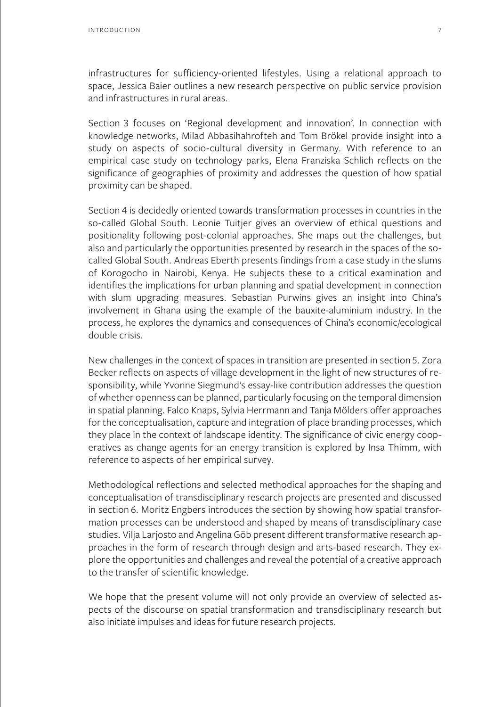infrastructures for sufficiency-oriented lifestyles. Using a relational approach to space, Jessica Baier outlines a new research perspective on public service provision and infrastructures in rural areas.

Section 3 focuses on 'Regional development and innovation'. In connection with knowledge networks, Milad Abbasihahrofteh and Tom Brökel provide insight into a study on aspects of socio-cultural diversity in Germany. With reference to an empirical case study on technology parks, Elena Franziska Schlich reflects on the significance of geographies of proximity and addresses the question of how spatial proximity can be shaped.

Section 4 is decidedly oriented towards transformation processes in countries in the so-called Global South. Leonie Tuitjer gives an overview of ethical questions and positionality following post-colonial approaches. She maps out the challenges, but also and particularly the opportunities presented by research in the spaces of the socalled Global South. Andreas Eberth presents findings from a case study in the slums of Korogocho in Nairobi, Kenya. He subjects these to a critical examination and identifies the implications for urban planning and spatial development in connection with slum upgrading measures. Sebastian Purwins gives an insight into China's involvement in Ghana using the example of the bauxite-aluminium industry. In the process, he explores the dynamics and consequences of China's economic/ecological double crisis.

New challenges in the context of spaces in transition are presented in section 5. Zora Becker reflects on aspects of village development in the light of new structures of responsibility, while Yvonne Siegmund's essay-like contribution addresses the question of whether openness can be planned, particularly focusing on the temporal dimension in spatial planning. Falco Knaps, Sylvia Herrmann and Tanja Mölders offer approaches for the conceptualisation, capture and integration of place branding processes, which they place in the context of landscape identity. The significance of civic energy cooperatives as change agents for an energy transition is explored by Insa Thimm, with reference to aspects of her empirical survey.

Methodological reflections and selected methodical approaches for the shaping and conceptualisation of transdisciplinary research projects are presented and discussed in section 6. Moritz Engbers introduces the section by showing how spatial transformation processes can be understood and shaped by means of transdisciplinary case studies. Vilja Larjosto and Angelina Göb present different transformative research approaches in the form of research through design and arts-based research. They explore the opportunities and challenges and reveal the potential of a creative approach to the transfer of scientific knowledge.

We hope that the present volume will not only provide an overview of selected aspects of the discourse on spatial transformation and transdisciplinary research but also initiate impulses and ideas for future research projects.